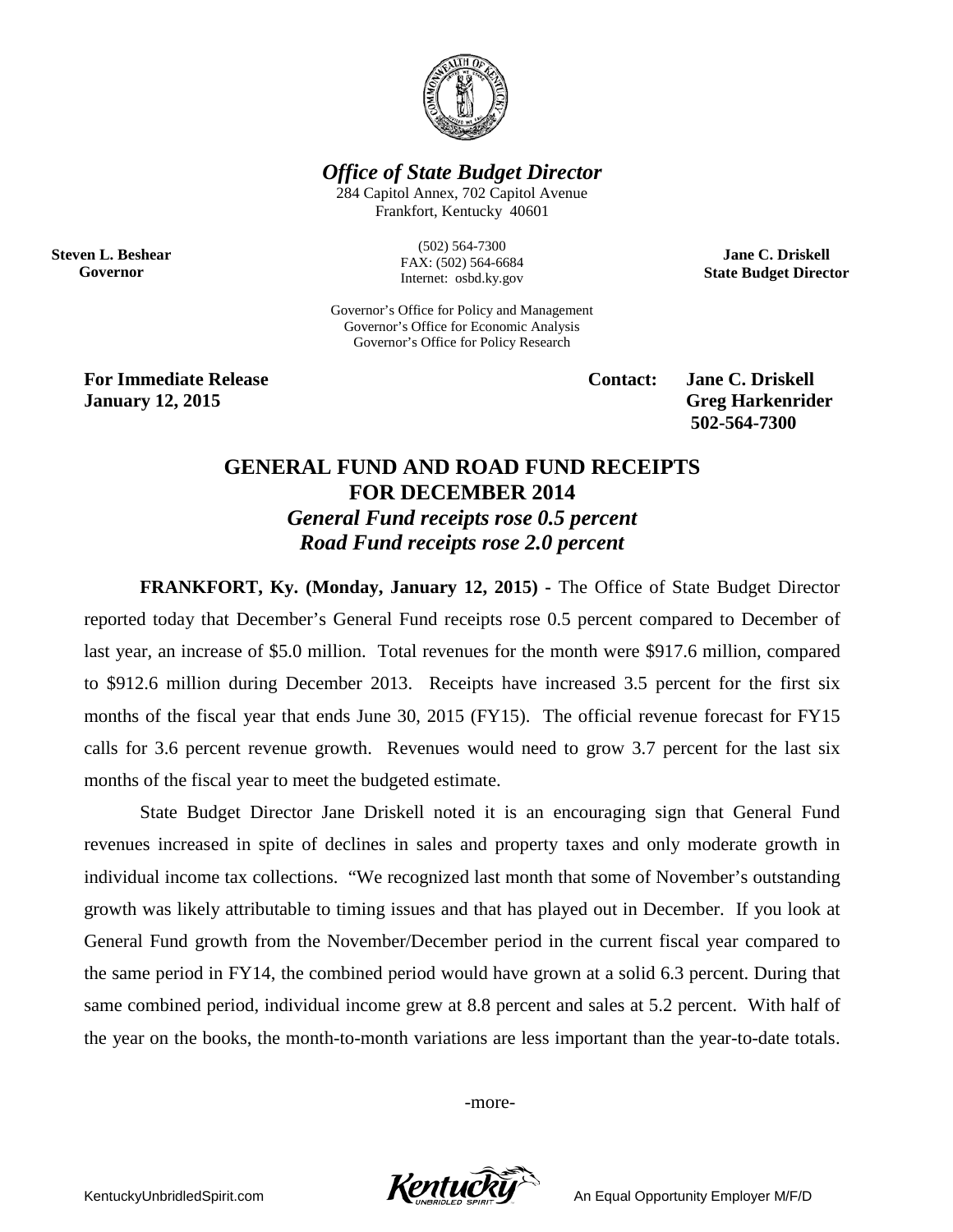

*Office of State Budget Director*

284 Capitol Annex, 702 Capitol Avenue Frankfort, Kentucky 40601

**Steven L. Beshear Governor**

(502) 564-7300 FAX: (502) 564-6684 Internet: osbd.ky.gov

Governor's Office for Policy and Management Governor's Office for Economic Analysis Governor's Office for Policy Research

**For Immediate Release Contact: Jane C. Driskell January 12, 2015 Greg Harkenrider**

**502-564-7300** 

**Jane C. Driskell State Budget Director**

## **GENERAL FUND AND ROAD FUND RECEIPTS FOR DECEMBER 2014** *General Fund receipts rose 0.5 percent Road Fund receipts rose 2.0 percent*

**FRANKFORT, Ky. (Monday, January 12, 2015) -** The Office of State Budget Director reported today that December's General Fund receipts rose 0.5 percent compared to December of last year, an increase of \$5.0 million. Total revenues for the month were \$917.6 million, compared to \$912.6 million during December 2013. Receipts have increased 3.5 percent for the first six months of the fiscal year that ends June 30, 2015 (FY15). The official revenue forecast for FY15 calls for 3.6 percent revenue growth. Revenues would need to grow 3.7 percent for the last six months of the fiscal year to meet the budgeted estimate.

State Budget Director Jane Driskell noted it is an encouraging sign that General Fund revenues increased in spite of declines in sales and property taxes and only moderate growth in individual income tax collections. "We recognized last month that some of November's outstanding growth was likely attributable to timing issues and that has played out in December. If you look at General Fund growth from the November/December period in the current fiscal year compared to the same period in FY14, the combined period would have grown at a solid 6.3 percent. During that same combined period, individual income grew at 8.8 percent and sales at 5.2 percent. With half of the year on the books, the month-to-month variations are less important than the year-to-date totals.

-more-

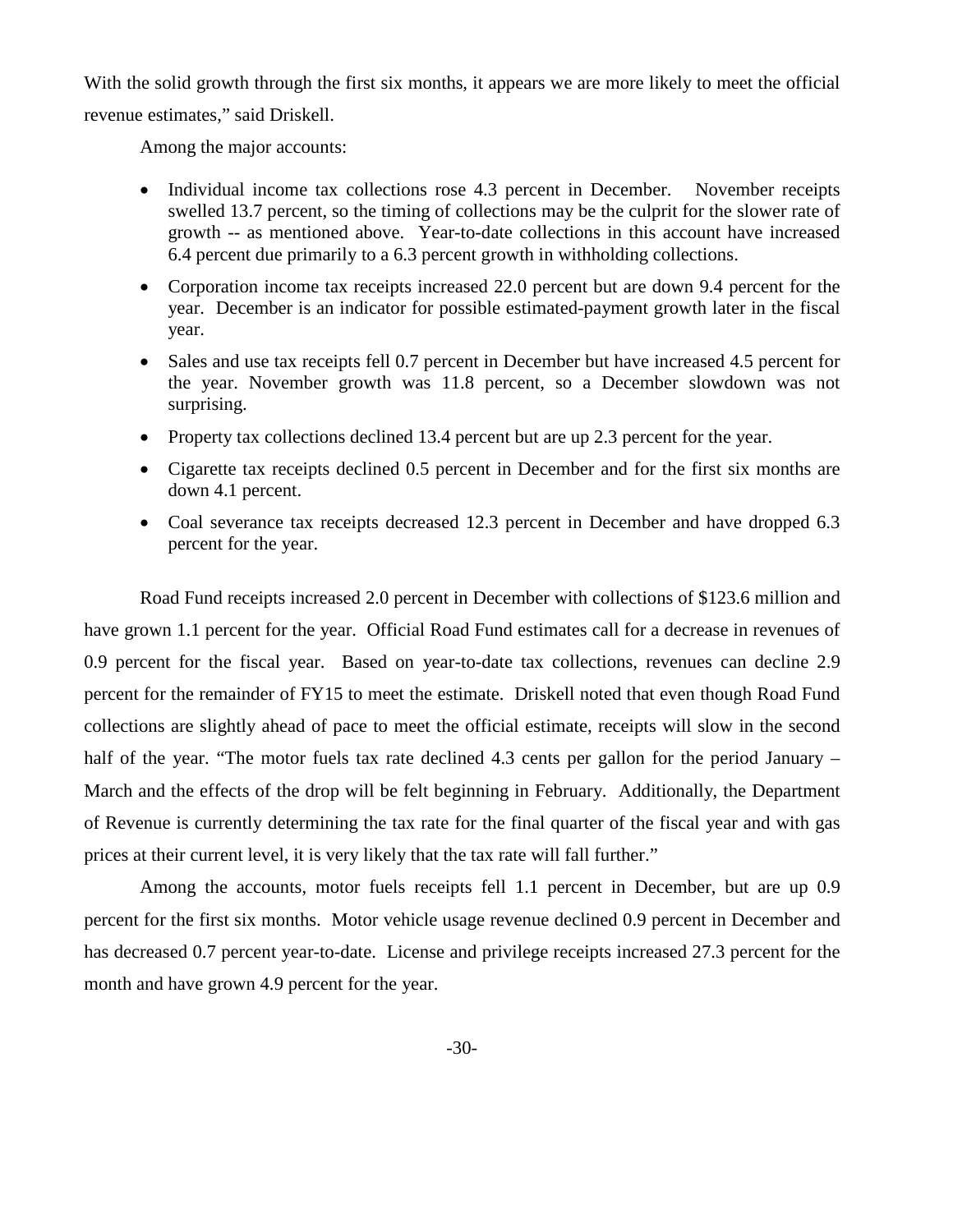With the solid growth through the first six months, it appears we are more likely to meet the official revenue estimates," said Driskell.

Among the major accounts:

- Individual income tax collections rose 4.3 percent in December. November receipts swelled 13.7 percent, so the timing of collections may be the culprit for the slower rate of growth -- as mentioned above. Year-to-date collections in this account have increased 6.4 percent due primarily to a 6.3 percent growth in withholding collections.
- Corporation income tax receipts increased 22.0 percent but are down 9.4 percent for the year. December is an indicator for possible estimated-payment growth later in the fiscal year.
- Sales and use tax receipts fell 0.7 percent in December but have increased 4.5 percent for the year. November growth was 11.8 percent, so a December slowdown was not surprising.
- Property tax collections declined 13.4 percent but are up 2.3 percent for the year.
- Cigarette tax receipts declined 0.5 percent in December and for the first six months are down 4.1 percent.
- Coal severance tax receipts decreased 12.3 percent in December and have dropped 6.3 percent for the year.

Road Fund receipts increased 2.0 percent in December with collections of \$123.6 million and have grown 1.1 percent for the year. Official Road Fund estimates call for a decrease in revenues of 0.9 percent for the fiscal year. Based on year-to-date tax collections, revenues can decline 2.9 percent for the remainder of FY15 to meet the estimate. Driskell noted that even though Road Fund collections are slightly ahead of pace to meet the official estimate, receipts will slow in the second half of the year. "The motor fuels tax rate declined 4.3 cents per gallon for the period January – March and the effects of the drop will be felt beginning in February. Additionally, the Department of Revenue is currently determining the tax rate for the final quarter of the fiscal year and with gas prices at their current level, it is very likely that the tax rate will fall further."

Among the accounts, motor fuels receipts fell 1.1 percent in December, but are up 0.9 percent for the first six months. Motor vehicle usage revenue declined 0.9 percent in December and has decreased 0.7 percent year-to-date. License and privilege receipts increased 27.3 percent for the month and have grown 4.9 percent for the year.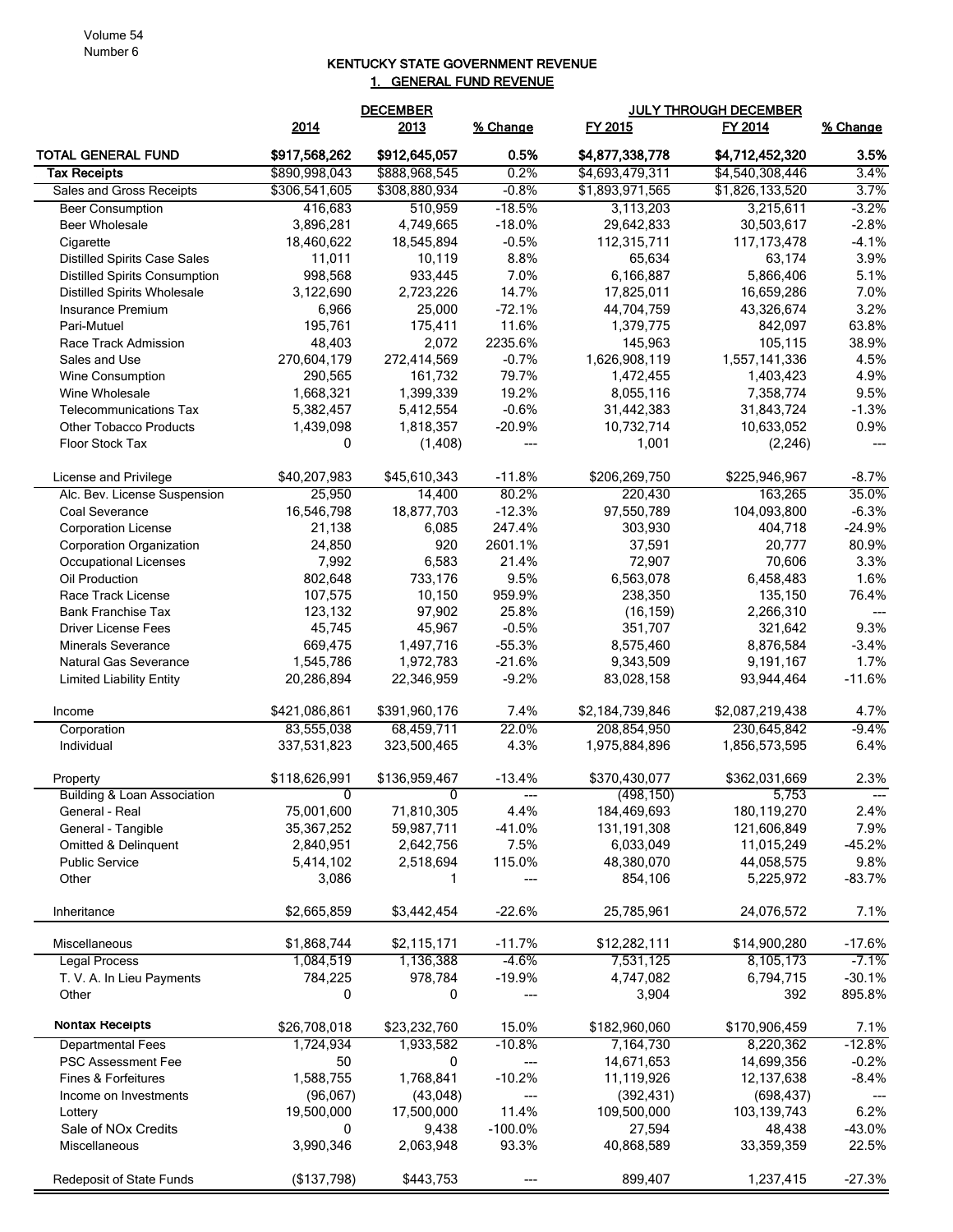## KENTUCKY STATE GOVERNMENT REVENUE 1. GENERAL FUND REVENUE

|                                                                             | <b>DECEMBER</b>        |                        |                                   |                           | <b>JULY THROUGH DECEMBER</b> |                                  |
|-----------------------------------------------------------------------------|------------------------|------------------------|-----------------------------------|---------------------------|------------------------------|----------------------------------|
|                                                                             | 2014                   | 2013                   | % Change                          | FY 2015                   | FY 2014                      | % Change                         |
| TOTAL GENERAL FUND                                                          | \$917,568,262          | \$912,645,057          | 0.5%                              | \$4,877,338,778           | \$4,712,452,320              | 3.5%                             |
| <b>Tax Receipts</b>                                                         | \$890,998,043          | \$888,968,545          | 0.2%                              | \$4,693,479,311           | \$4,540,308,446              | 3.4%                             |
| Sales and Gross Receipts                                                    | \$306,541,605          | \$308,880,934          | $-0.8%$                           | \$1,893,971,565           | \$1,826,133,520              | 3.7%                             |
| <b>Beer Consumption</b>                                                     | 416,683                | 510,959                | $-18.5%$                          | 3,113,203                 | 3,215,611                    | $-3.2%$                          |
| <b>Beer Wholesale</b>                                                       | 3,896,281              | 4,749,665              | $-18.0%$                          | 29,642,833                | 30,503,617                   | $-2.8%$                          |
| Cigarette                                                                   | 18,460,622             | 18,545,894             | $-0.5%$<br>8.8%                   | 112,315,711               | 117, 173, 478                | $-4.1%$<br>3.9%                  |
| <b>Distilled Spirits Case Sales</b><br><b>Distilled Spirits Consumption</b> | 11,011<br>998,568      | 10,119<br>933,445      | 7.0%                              | 65,634<br>6,166,887       | 63,174<br>5,866,406          | 5.1%                             |
| <b>Distilled Spirits Wholesale</b>                                          | 3,122,690              | 2,723,226              | 14.7%                             | 17,825,011                | 16,659,286                   | 7.0%                             |
| Insurance Premium                                                           | 6,966                  | 25,000                 | $-72.1%$                          | 44,704,759                | 43,326,674                   | 3.2%                             |
| Pari-Mutuel                                                                 | 195,761                | 175,411                | 11.6%                             | 1,379,775                 | 842,097                      | 63.8%                            |
| Race Track Admission                                                        | 48,403                 | 2,072                  | 2235.6%                           | 145,963                   | 105,115                      | 38.9%                            |
| Sales and Use                                                               | 270,604,179            | 272,414,569            | $-0.7%$                           | 1,626,908,119             | 1,557,141,336                | 4.5%                             |
| Wine Consumption                                                            | 290,565                | 161,732                | 79.7%                             | 1,472,455                 | 1,403,423                    | 4.9%                             |
| Wine Wholesale                                                              | 1,668,321              | 1,399,339              | 19.2%                             | 8,055,116                 | 7,358,774                    | 9.5%                             |
| <b>Telecommunications Tax</b>                                               | 5,382,457              | 5,412,554              | $-0.6%$                           | 31,442,383                | 31,843,724                   | $-1.3%$                          |
| <b>Other Tobacco Products</b>                                               | 1,439,098              | 1,818,357              | $-20.9%$                          | 10,732,714                | 10,633,052                   | 0.9%                             |
| Floor Stock Tax                                                             | 0                      | (1, 408)               | ---                               | 1,001                     | (2, 246)                     | ---                              |
| License and Privilege                                                       | \$40,207,983           | \$45,610,343           | $-11.8%$                          | \$206,269,750             | \$225,946,967                | $-8.7%$                          |
| Alc. Bev. License Suspension                                                | 25,950                 | 14,400                 | 80.2%                             | 220,430                   | 163,265                      | 35.0%                            |
| Coal Severance                                                              | 16,546,798             | 18,877,703             | $-12.3%$                          | 97,550,789                | 104,093,800                  | $-6.3%$                          |
| <b>Corporation License</b>                                                  | 21,138                 | 6,085                  | 247.4%                            | 303,930                   | 404,718                      | $-24.9%$                         |
| <b>Corporation Organization</b>                                             | 24,850                 | 920                    | 2601.1%                           | 37,591                    | 20,777                       | 80.9%                            |
| Occupational Licenses                                                       | 7,992                  | 6,583                  | 21.4%                             | 72,907                    | 70,606                       | 3.3%                             |
| Oil Production                                                              | 802,648                | 733,176                | 9.5%                              | 6,563,078                 | 6,458,483                    | 1.6%                             |
| Race Track License                                                          | 107,575                | 10,150                 | 959.9%                            | 238,350                   | 135,150                      | 76.4%                            |
| <b>Bank Franchise Tax</b><br><b>Driver License Fees</b>                     | 123,132<br>45,745      | 97,902<br>45,967       | 25.8%<br>$-0.5%$                  | (16, 159)<br>351,707      | 2,266,310<br>321,642         | ---<br>9.3%                      |
| <b>Minerals Severance</b>                                                   | 669,475                | 1,497,716              | $-55.3%$                          | 8,575,460                 | 8,876,584                    | $-3.4%$                          |
| Natural Gas Severance                                                       | 1,545,786              | 1,972,783              | $-21.6%$                          | 9,343,509                 | 9,191,167                    | 1.7%                             |
| <b>Limited Liability Entity</b>                                             | 20,286,894             | 22,346,959             | $-9.2%$                           | 83,028,158                | 93,944,464                   | $-11.6%$                         |
| Income                                                                      | \$421,086,861          | \$391,960,176          | 7.4%                              | \$2,184,739,846           | \$2,087,219,438              | 4.7%                             |
| Corporation                                                                 | 83,555,038             | 68,459,711             | 22.0%                             | 208,854,950               | 230,645,842                  | $-9.4%$                          |
| Individual                                                                  | 337,531,823            | 323,500,465            | 4.3%                              | 1,975,884,896             | 1,856,573,595                | 6.4%                             |
| Property                                                                    | \$118,626,991          | \$136,959,467          | $-13.4%$                          | \$370,430,077             | \$362,031,669                | 2.3%                             |
| <b>Building &amp; Loan Association</b>                                      | <sup>n</sup>           | 0                      |                                   | (498, 150)                | 5,753                        |                                  |
| General - Real                                                              | 75,001,600             | 71,810,305             | 4.4%                              | 184,469,693               | 180,119,270                  | 2.4%                             |
| General - Tangible                                                          | 35,367,252             | 59,987,711             | $-41.0%$                          | 131, 191, 308             | 121,606,849                  | 7.9%                             |
| Omitted & Delinquent                                                        | 2,840,951              | 2,642,756              | 7.5%                              | 6,033,049                 | 11,015,249                   | $-45.2%$                         |
| <b>Public Service</b>                                                       | 5,414,102              | 2,518,694              | 115.0%                            | 48,380,070                | 44,058,575                   | 9.8%                             |
| Other                                                                       | 3,086                  | 1                      | $\qquad \qquad \cdots$            | 854,106                   | 5,225,972                    | $-83.7%$                         |
| Inheritance                                                                 | \$2,665,859            | \$3,442,454            | $-22.6%$                          | 25,785,961                | 24,076,572                   | 7.1%                             |
| Miscellaneous                                                               | \$1,868,744            | \$2,115,171            | $-11.7%$                          | \$12,282,111              | \$14,900,280                 | $-17.6%$                         |
| Legal Process                                                               | 1,084,519              | 1,136,388              | $-4.6%$                           | 7,531,125                 | 8,105,173                    | $-7.1%$                          |
| T. V. A. In Lieu Payments                                                   | 784,225                | 978,784                | $-19.9%$                          | 4,747,082                 | 6,794,715                    | $-30.1%$                         |
| Other                                                                       | 0                      | 0                      | $\hspace{0.05cm} \dashrightarrow$ | 3,904                     | 392                          | 895.8%                           |
| Nontax Receipts                                                             | \$26,708,018           | \$23,232,760           | 15.0%                             | \$182,960,060             | \$170,906,459                | 7.1%                             |
| <b>Departmental Fees</b>                                                    | 1,724,934              | 1,933,582              | $-10.8%$                          | 7,164,730                 | 8,220,362                    | $-12.8%$                         |
| PSC Assessment Fee                                                          | 50                     | 0                      | $\hspace{0.05cm} \ldots$          | 14,671,653                | 14,699,356                   | $-0.2%$                          |
| Fines & Forfeitures                                                         | 1,588,755              | 1,768,841              | $-10.2%$                          | 11,119,926                | 12,137,638                   | $-8.4%$                          |
| Income on Investments<br>Lottery                                            | (96,067)<br>19,500,000 | (43,048)<br>17,500,000 | $\hspace{0.05cm} \ldots$<br>11.4% | (392, 431)<br>109,500,000 | (698, 437)<br>103,139,743    | $\hspace{0.05cm} \ldots$<br>6.2% |
| Sale of NO <sub>x</sub> Credits                                             | 0                      | 9,438                  | $-100.0\%$                        | 27,594                    | 48,438                       | $-43.0%$                         |
| Miscellaneous                                                               | 3,990,346              | 2,063,948              | 93.3%                             | 40,868,589                | 33,359,359                   | 22.5%                            |
|                                                                             |                        |                        |                                   |                           |                              |                                  |
| <b>Redeposit of State Funds</b>                                             | (\$137,798)            | \$443,753              |                                   | 899,407                   | 1,237,415                    | $-27.3%$                         |